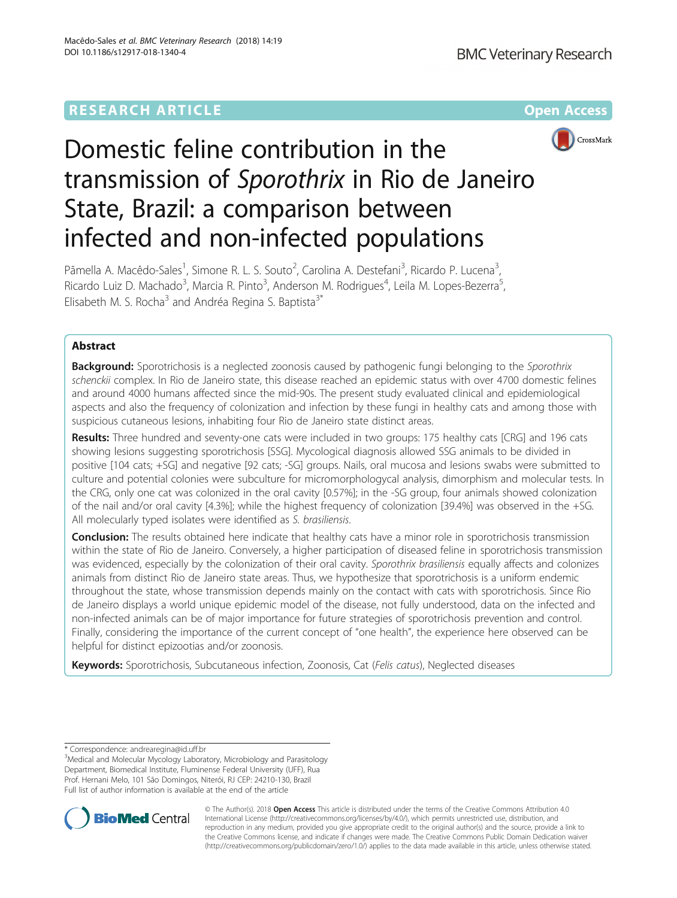## **RESEARCH ARTICLE Example 2014 12:30 The Contract of Contract Article 2014**



# Domestic feline contribution in the transmission of Sporothrix in Rio de Janeiro State, Brazil: a comparison between infected and non-infected populations

Pãmella A. Macêdo-Sales<sup>1</sup>, Simone R. L. S. Souto<sup>2</sup>, Carolina A. Destefani<sup>3</sup>, Ricardo P. Lucena<sup>3</sup> , Ricardo Luiz D. Machado<sup>3</sup>, Marcia R. Pinto<sup>3</sup>, Anderson M. Rodrigues<sup>4</sup>, Leila M. Lopes-Bezerra<sup>5</sup> , Elisabeth M. S. Rocha<sup>3</sup> and Andréa Regina S. Baptista<sup>3\*</sup>

## Abstract

**Background:** Sporotrichosis is a neglected zoonosis caused by pathogenic fungi belonging to the Sporothrix schenckii complex. In Rio de Janeiro state, this disease reached an epidemic status with over 4700 domestic felines and around 4000 humans affected since the mid-90s. The present study evaluated clinical and epidemiological aspects and also the frequency of colonization and infection by these fungi in healthy cats and among those with suspicious cutaneous lesions, inhabiting four Rio de Janeiro state distinct areas.

Results: Three hundred and seventy-one cats were included in two groups: 175 healthy cats [CRG] and 196 cats showing lesions suggesting sporotrichosis [SSG]. Mycological diagnosis allowed SSG animals to be divided in positive [104 cats; +SG] and negative [92 cats; -SG] groups. Nails, oral mucosa and lesions swabs were submitted to culture and potential colonies were subculture for micromorphologycal analysis, dimorphism and molecular tests. In the CRG, only one cat was colonized in the oral cavity [0.57%]; in the -SG group, four animals showed colonization of the nail and/or oral cavity [4.3%]; while the highest frequency of colonization [39.4%] was observed in the +SG. All molecularly typed isolates were identified as S. brasiliensis.

Conclusion: The results obtained here indicate that healthy cats have a minor role in sporotrichosis transmission within the state of Rio de Janeiro. Conversely, a higher participation of diseased feline in sporotrichosis transmission was evidenced, especially by the colonization of their oral cavity. Sporothrix brasiliensis equally affects and colonizes animals from distinct Rio de Janeiro state areas. Thus, we hypothesize that sporotrichosis is a uniform endemic throughout the state, whose transmission depends mainly on the contact with cats with sporotrichosis. Since Rio de Janeiro displays a world unique epidemic model of the disease, not fully understood, data on the infected and non-infected animals can be of major importance for future strategies of sporotrichosis prevention and control. Finally, considering the importance of the current concept of "one health", the experience here observed can be helpful for distinct epizootias and/or zoonosis.

Keywords: Sporotrichosis, Subcutaneous infection, Zoonosis, Cat (Felis catus), Neglected diseases

\* Correspondence: [andrearegina@id.uff.br](mailto:andrearegina@id.uff.br) <sup>3</sup>

<sup>3</sup>Medical and Molecular Mycology Laboratory, Microbiology and Parasitology Department, Biomedical Institute, Fluminense Federal University (UFF), Rua Prof. Hernani Melo, 101 São Domingos, Niterói, RJ CEP: 24210-130, Brazil Full list of author information is available at the end of the article



© The Author(s). 2018 Open Access This article is distributed under the terms of the Creative Commons Attribution 4.0 International License [\(http://creativecommons.org/licenses/by/4.0/](http://creativecommons.org/licenses/by/4.0/)), which permits unrestricted use, distribution, and reproduction in any medium, provided you give appropriate credit to the original author(s) and the source, provide a link to the Creative Commons license, and indicate if changes were made. The Creative Commons Public Domain Dedication waiver [\(http://creativecommons.org/publicdomain/zero/1.0/](http://creativecommons.org/publicdomain/zero/1.0/)) applies to the data made available in this article, unless otherwise stated.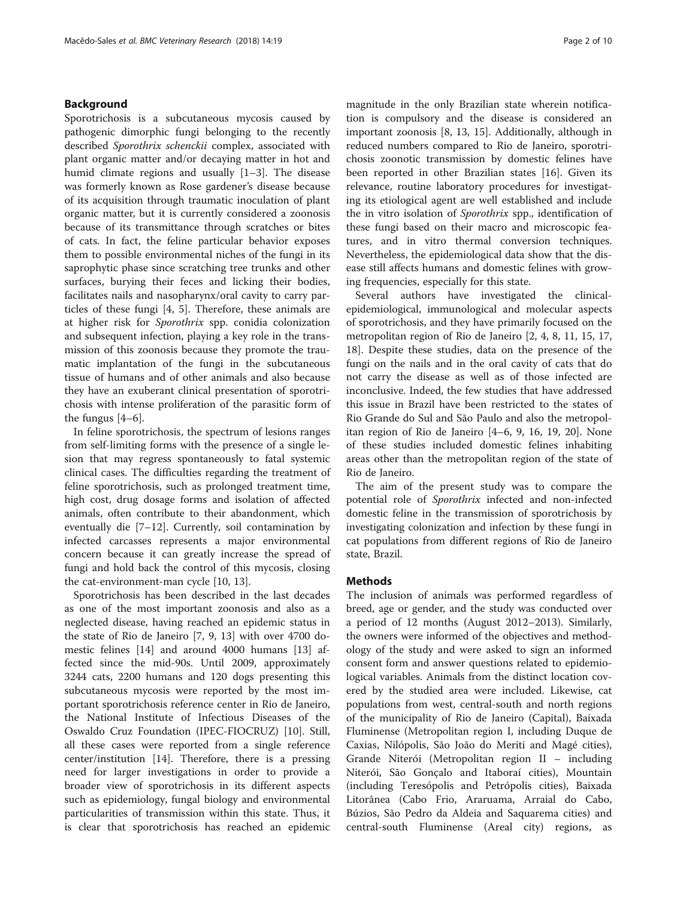## Background

Sporotrichosis is a subcutaneous mycosis caused by pathogenic dimorphic fungi belonging to the recently described Sporothrix schenckii complex, associated with plant organic matter and/or decaying matter in hot and humid climate regions and usually [[1](#page-8-0)–[3](#page-8-0)]. The disease was formerly known as Rose gardener's disease because of its acquisition through traumatic inoculation of plant organic matter, but it is currently considered a zoonosis because of its transmittance through scratches or bites of cats. In fact, the feline particular behavior exposes them to possible environmental niches of the fungi in its saprophytic phase since scratching tree trunks and other surfaces, burying their feces and licking their bodies, facilitates nails and nasopharynx/oral cavity to carry particles of these fungi [\[4](#page-8-0), [5](#page-9-0)]. Therefore, these animals are at higher risk for Sporothrix spp. conidia colonization and subsequent infection, playing a key role in the transmission of this zoonosis because they promote the traumatic implantation of the fungi in the subcutaneous tissue of humans and of other animals and also because they have an exuberant clinical presentation of sporotrichosis with intense proliferation of the parasitic form of the fungus [[4](#page-8-0)–[6\]](#page-9-0).

In feline sporotrichosis, the spectrum of lesions ranges from self-limiting forms with the presence of a single lesion that may regress spontaneously to fatal systemic clinical cases. The difficulties regarding the treatment of feline sporotrichosis, such as prolonged treatment time, high cost, drug dosage forms and isolation of affected animals, often contribute to their abandonment, which eventually die [\[7](#page-9-0)–[12\]](#page-9-0). Currently, soil contamination by infected carcasses represents a major environmental concern because it can greatly increase the spread of fungi and hold back the control of this mycosis, closing the cat-environment-man cycle [[10, 13](#page-9-0)].

Sporotrichosis has been described in the last decades as one of the most important zoonosis and also as a neglected disease, having reached an epidemic status in the state of Rio de Janeiro [[7, 9](#page-9-0), [13\]](#page-9-0) with over 4700 domestic felines [[14\]](#page-9-0) and around 4000 humans [\[13](#page-9-0)] affected since the mid-90s. Until 2009, approximately 3244 cats, 2200 humans and 120 dogs presenting this subcutaneous mycosis were reported by the most important sporotrichosis reference center in Rio de Janeiro, the National Institute of Infectious Diseases of the Oswaldo Cruz Foundation (IPEC-FIOCRUZ) [[10\]](#page-9-0). Still, all these cases were reported from a single reference center/institution [\[14](#page-9-0)]. Therefore, there is a pressing need for larger investigations in order to provide a broader view of sporotrichosis in its different aspects such as epidemiology, fungal biology and environmental particularities of transmission within this state. Thus, it is clear that sporotrichosis has reached an epidemic

magnitude in the only Brazilian state wherein notification is compulsory and the disease is considered an important zoonosis [[8, 13](#page-9-0), [15\]](#page-9-0). Additionally, although in reduced numbers compared to Rio de Janeiro, sporotrichosis zoonotic transmission by domestic felines have been reported in other Brazilian states [[16\]](#page-9-0). Given its relevance, routine laboratory procedures for investigating its etiological agent are well established and include the in vitro isolation of Sporothrix spp., identification of these fungi based on their macro and microscopic features, and in vitro thermal conversion techniques. Nevertheless, the epidemiological data show that the disease still affects humans and domestic felines with growing frequencies, especially for this state.

Several authors have investigated the clinicalepidemiological, immunological and molecular aspects of sporotrichosis, and they have primarily focused on the metropolitan region of Rio de Janeiro [[2, 4,](#page-8-0) [8, 11](#page-9-0), [15](#page-9-0), [17](#page-9-0), [18\]](#page-9-0). Despite these studies, data on the presence of the fungi on the nails and in the oral cavity of cats that do not carry the disease as well as of those infected are inconclusive. Indeed, the few studies that have addressed this issue in Brazil have been restricted to the states of Rio Grande do Sul and São Paulo and also the metropolitan region of Rio de Janeiro [[4](#page-8-0)–[6](#page-9-0), [9](#page-9-0), [16](#page-9-0), [19](#page-9-0), [20\]](#page-9-0). None of these studies included domestic felines inhabiting areas other than the metropolitan region of the state of Rio de Janeiro.

The aim of the present study was to compare the potential role of Sporothrix infected and non-infected domestic feline in the transmission of sporotrichosis by investigating colonization and infection by these fungi in cat populations from different regions of Rio de Janeiro state, Brazil.

## **Methods**

The inclusion of animals was performed regardless of breed, age or gender, and the study was conducted over a period of 12 months (August 2012–2013). Similarly, the owners were informed of the objectives and methodology of the study and were asked to sign an informed consent form and answer questions related to epidemiological variables. Animals from the distinct location covered by the studied area were included. Likewise, cat populations from west, central-south and north regions of the municipality of Rio de Janeiro (Capital), Baixada Fluminense (Metropolitan region I, including Duque de Caxias, Nilópolis, São João do Meriti and Magé cities), Grande Niterói (Metropolitan region II – including Niterói, São Gonçalo and Itaboraí cities), Mountain (including Teresópolis and Petrópolis cities), Baixada Litorânea (Cabo Frio, Araruama, Arraial do Cabo, Búzios, São Pedro da Aldeia and Saquarema cities) and central-south Fluminense (Areal city) regions, as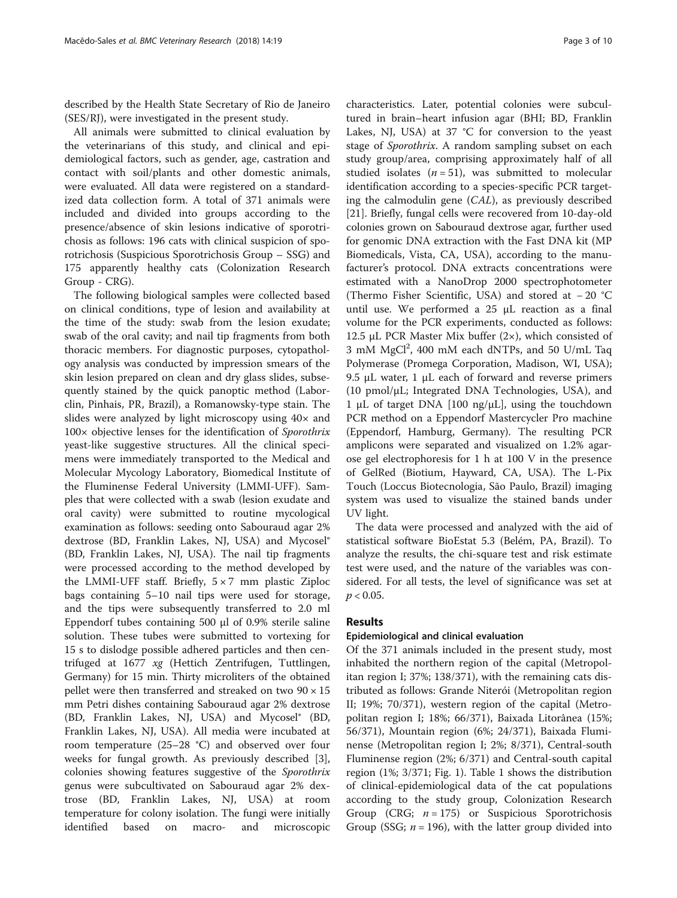described by the Health State Secretary of Rio de Janeiro (SES/RJ), were investigated in the present study.

All animals were submitted to clinical evaluation by the veterinarians of this study, and clinical and epidemiological factors, such as gender, age, castration and contact with soil/plants and other domestic animals, were evaluated. All data were registered on a standardized data collection form. A total of 371 animals were included and divided into groups according to the presence/absence of skin lesions indicative of sporotrichosis as follows: 196 cats with clinical suspicion of sporotrichosis (Suspicious Sporotrichosis Group – SSG) and 175 apparently healthy cats (Colonization Research Group - CRG).

The following biological samples were collected based on clinical conditions, type of lesion and availability at the time of the study: swab from the lesion exudate; swab of the oral cavity; and nail tip fragments from both thoracic members. For diagnostic purposes, cytopathology analysis was conducted by impression smears of the skin lesion prepared on clean and dry glass slides, subsequently stained by the quick panoptic method (Laborclin, Pinhais, PR, Brazil), a Romanowsky-type stain. The slides were analyzed by light microscopy using  $40\times$  and 100× objective lenses for the identification of Sporothrix yeast-like suggestive structures. All the clinical specimens were immediately transported to the Medical and Molecular Mycology Laboratory, Biomedical Institute of the Fluminense Federal University (LMMI-UFF). Samples that were collected with a swab (lesion exudate and oral cavity) were submitted to routine mycological examination as follows: seeding onto Sabouraud agar 2% dextrose (BD, Franklin Lakes, NJ, USA) and Mycosel® (BD, Franklin Lakes, NJ, USA). The nail tip fragments were processed according to the method developed by the LMMI-UFF staff. Briefly,  $5 \times 7$  mm plastic Ziploc bags containing 5–10 nail tips were used for storage, and the tips were subsequently transferred to 2.0 ml Eppendorf tubes containing 500 μl of 0.9% sterile saline solution. These tubes were submitted to vortexing for 15 s to dislodge possible adhered particles and then centrifuged at 1677 xg (Hettich Zentrifugen, Tuttlingen, Germany) for 15 min. Thirty microliters of the obtained pellet were then transferred and streaked on two  $90 \times 15$ mm Petri dishes containing Sabouraud agar 2% dextrose (BD, Franklin Lakes, NJ, USA) and Mycosel® (BD, Franklin Lakes, NJ, USA). All media were incubated at room temperature (25–28 °C) and observed over four weeks for fungal growth. As previously described [\[3](#page-8-0)], colonies showing features suggestive of the Sporothrix genus were subcultivated on Sabouraud agar 2% dextrose (BD, Franklin Lakes, NJ, USA) at room temperature for colony isolation. The fungi were initially identified based on macro- and microscopic

characteristics. Later, potential colonies were subcultured in brain–heart infusion agar (BHI; BD, Franklin Lakes, NJ, USA) at 37 °C for conversion to the yeast stage of Sporothrix. A random sampling subset on each study group/area, comprising approximately half of all studied isolates ( $n = 51$ ), was submitted to molecular identification according to a species-specific PCR targeting the calmodulin gene (CAL), as previously described [[21\]](#page-9-0). Briefly, fungal cells were recovered from 10-day-old colonies grown on Sabouraud dextrose agar, further used for genomic DNA extraction with the Fast DNA kit (MP Biomedicals, Vista, CA, USA), according to the manufacturer's protocol. DNA extracts concentrations were estimated with a NanoDrop 2000 spectrophotometer (Thermo Fisher Scientific, USA) and stored at − 20 °C until use. We performed a 25 μL reaction as a final volume for the PCR experiments, conducted as follows: 12.5 μL PCR Master Mix buffer  $(2×)$ , which consisted of 3 mM MgCl<sup>2</sup>, 400 mM each dNTPs, and 50 U/mL Taq Polymerase (Promega Corporation, Madison, WI, USA); 9.5 μL water, 1 μL each of forward and reverse primers (10 pmol/μL; Integrated DNA Technologies, USA), and 1 μL of target DNA [100 ng/μL], using the touchdown PCR method on a Eppendorf Mastercycler Pro machine (Eppendorf, Hamburg, Germany). The resulting PCR amplicons were separated and visualized on 1.2% agarose gel electrophoresis for 1 h at 100 V in the presence of GelRed (Biotium, Hayward, CA, USA). The L-Pix Touch (Loccus Biotecnologia, São Paulo, Brazil) imaging system was used to visualize the stained bands under UV light.

The data were processed and analyzed with the aid of statistical software BioEstat 5.3 (Belém, PA, Brazil). To analyze the results, the chi-square test and risk estimate test were used, and the nature of the variables was considered. For all tests, the level of significance was set at  $p < 0.05$ .

### Results

#### Epidemiological and clinical evaluation

Of the 371 animals included in the present study, most inhabited the northern region of the capital (Metropolitan region I; 37%; 138/371), with the remaining cats distributed as follows: Grande Niterói (Metropolitan region II; 19%; 70/371), western region of the capital (Metropolitan region I; 18%; 66/371), Baixada Litorânea (15%; 56/371), Mountain region (6%; 24/371), Baixada Fluminense (Metropolitan region I; 2%; 8/371), Central-south Fluminense region (2%; 6/371) and Central-south capital region (1%; 3/371; Fig. [1](#page-3-0)). Table [1](#page-3-0) shows the distribution of clinical-epidemiological data of the cat populations according to the study group, Colonization Research Group (CRG;  $n = 175$ ) or Suspicious Sporotrichosis Group (SSG;  $n = 196$ ), with the latter group divided into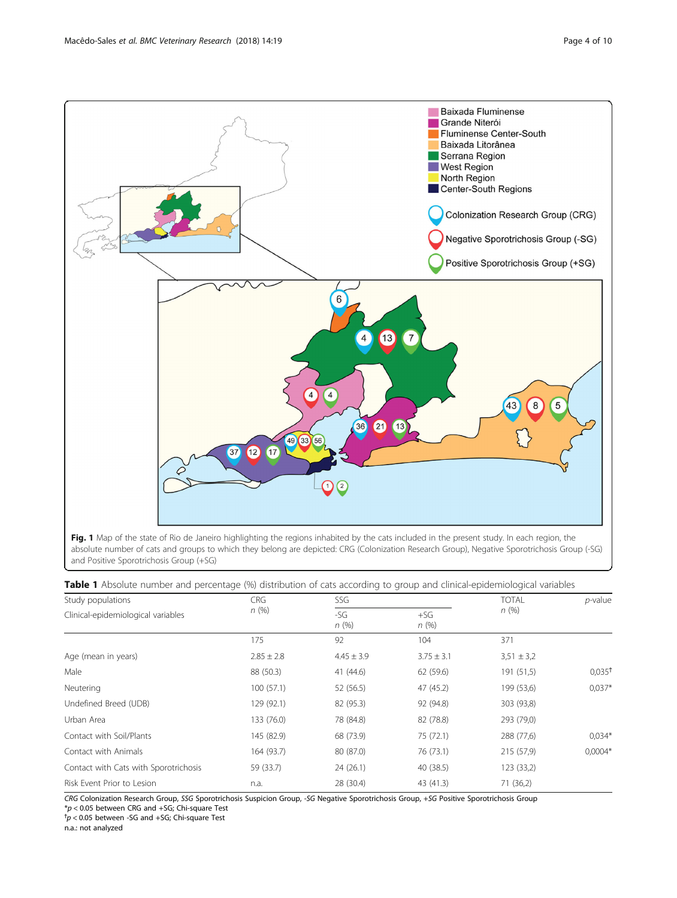<span id="page-3-0"></span>

Fig. 1 Map of the state of Rio de Janeiro highlighting the regions inhabited by the cats included in the present study. In each region, the absolute number of cats and groups to which they belong are depicted: CRG (Colonization Research Group), Negative Sporotrichosis Group (-SG) and Positive Sporotrichosis Group (+SG)

| Study populations                     | <b>CRG</b>     | SSG            |                | <b>TOTAL</b>   | $p$ -value           |  |
|---------------------------------------|----------------|----------------|----------------|----------------|----------------------|--|
| Clinical-epidemiological variables    | n(%)           | $-SG$<br>n(%)  | $+SG$<br>n(%)  | n(%)           |                      |  |
|                                       | 175            | 92             | 104            | 371            |                      |  |
| Age (mean in years)                   | $2.85 \pm 2.8$ | $4.45 \pm 3.9$ | $3.75 \pm 3.1$ | $3,51 \pm 3,2$ |                      |  |
| Male                                  | 88 (50.3)      | 41 (44.6)      | 62 (59.6)      | 191 (51,5)     | $0,035$ <sup>†</sup> |  |
| Neutering                             | 100(57.1)      | 52 (56.5)      | 47 (45.2)      | 199 (53,6)     | $0.037*$             |  |
| Undefined Breed (UDB)                 | 129 (92.1)     | 82 (95.3)      | 92 (94.8)      | 303 (93,8)     |                      |  |
| Urban Area                            | 133 (76.0)     | 78 (84.8)      | 82 (78.8)      | 293 (79,0)     |                      |  |
| Contact with Soil/Plants              | 145 (82.9)     | 68 (73.9)      | 75 (72.1)      | 288 (77,6)     | $0,034*$             |  |
| Contact with Animals                  | 164 (93.7)     | 80 (87.0)      | 76 (73.1)      | 215 (57,9)     | $0,0004*$            |  |
| Contact with Cats with Sporotrichosis | 59 (33.7)      | 24(26.1)       | 40 (38.5)      | 123 (33,2)     |                      |  |
| Risk Event Prior to Lesion            | n.a.           | 28 (30.4)      | 43 (41.3)      | 71 (36,2)      |                      |  |

CRG Colonization Research Group, SSG Sporotrichosis Suspicion Group, -SG Negative Sporotrichosis Group, +SG Positive Sporotrichosis Group

 $^{\ast}p$  < 0.05 between CRG and +SG; Chi-square Test  $^{\uparrow}p$  < 0.05 between -SG and +SG; Chi-square Test

n.a.: not analyzed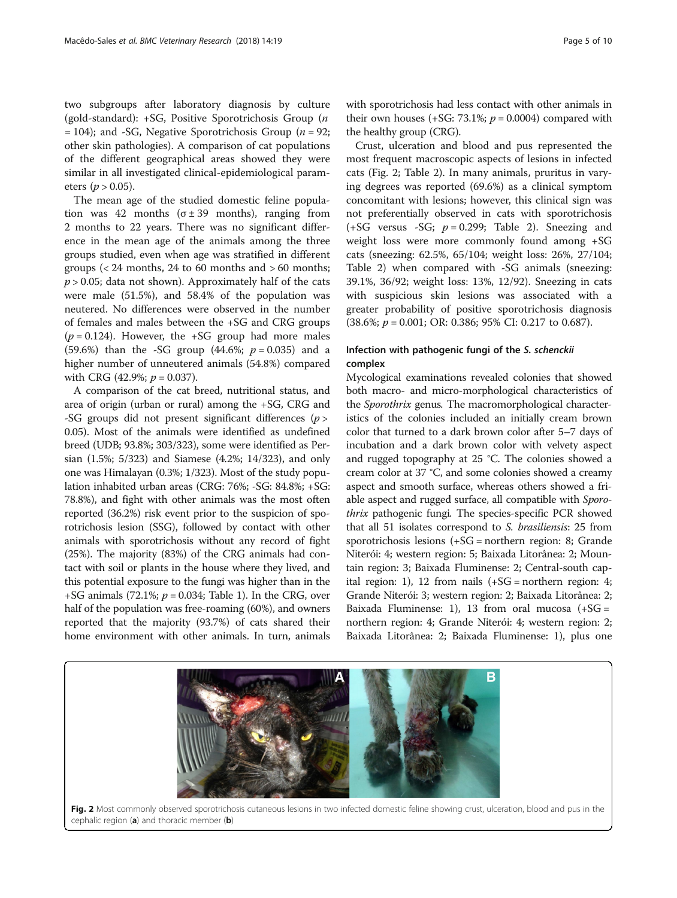two subgroups after laboratory diagnosis by culture (gold-standard): +SG, Positive Sporotrichosis Group (n  $= 104$ ); and -SG, Negative Sporotrichosis Group (*n* = 92; other skin pathologies). A comparison of cat populations of the different geographical areas showed they were similar in all investigated clinical-epidemiological parameters ( $p > 0.05$ ).

The mean age of the studied domestic feline population was 42 months ( $\sigma \pm 39$  months), ranging from 2 months to 22 years. There was no significant difference in the mean age of the animals among the three groups studied, even when age was stratified in different groups  $\left($  < 24 months, 24 to 60 months and  $>$  60 months;  $p > 0.05$ ; data not shown). Approximately half of the cats were male (51.5%), and 58.4% of the population was neutered. No differences were observed in the number of females and males between the +SG and CRG groups  $(p = 0.124)$ . However, the +SG group had more males (59.6%) than the -SG group (44.6%;  $p = 0.035$ ) and a higher number of unneutered animals (54.8%) compared with CRG (42.9%;  $p = 0.037$ ).

A comparison of the cat breed, nutritional status, and area of origin (urban or rural) among the +SG, CRG and -SG groups did not present significant differences ( $p >$ 0.05). Most of the animals were identified as undefined breed (UDB; 93.8%; 303/323), some were identified as Persian (1.5%; 5/323) and Siamese (4.2%; 14/323), and only one was Himalayan (0.3%; 1/323). Most of the study population inhabited urban areas (CRG: 76%; -SG: 84.8%; +SG: 78.8%), and fight with other animals was the most often reported (36.2%) risk event prior to the suspicion of sporotrichosis lesion (SSG), followed by contact with other animals with sporotrichosis without any record of fight (25%). The majority (83%) of the CRG animals had contact with soil or plants in the house where they lived, and this potential exposure to the fungi was higher than in the +SG animals (72.1%;  $p = 0.034$ ; Table [1\)](#page-3-0). In the CRG, over half of the population was free-roaming (60%), and owners reported that the majority (93.7%) of cats shared their home environment with other animals. In turn, animals

with sporotrichosis had less contact with other animals in their own houses (+SG: 73.1%;  $p = 0.0004$ ) compared with the healthy group (CRG).

Crust, ulceration and blood and pus represented the most frequent macroscopic aspects of lesions in infected cats (Fig. 2; Table [2](#page-5-0)). In many animals, pruritus in varying degrees was reported (69.6%) as a clinical symptom concomitant with lesions; however, this clinical sign was not preferentially observed in cats with sporotrichosis  $(+SG$  versus -SG;  $p = 0.299$ ; Table [2\)](#page-5-0). Sneezing and weight loss were more commonly found among +SG cats (sneezing: 62.5%, 65/104; weight loss: 26%, 27/104; Table [2\)](#page-5-0) when compared with -SG animals (sneezing: 39.1%, 36/92; weight loss: 13%, 12/92). Sneezing in cats with suspicious skin lesions was associated with a greater probability of positive sporotrichosis diagnosis  $(38.6\%; p = 0.001; \text{OR: } 0.386; 95\% \text{ CI: } 0.217 \text{ to } 0.687).$ 

## Infection with pathogenic fungi of the S. schenckii complex

Mycological examinations revealed colonies that showed both macro- and micro-morphological characteristics of the Sporothrix genus. The macromorphological characteristics of the colonies included an initially cream brown color that turned to a dark brown color after 5–7 days of incubation and a dark brown color with velvety aspect and rugged topography at 25 °C. The colonies showed a cream color at 37 °C, and some colonies showed a creamy aspect and smooth surface, whereas others showed a friable aspect and rugged surface, all compatible with Sporothrix pathogenic fungi. The species-specific PCR showed that all 51 isolates correspond to S. brasiliensis: 25 from sporotrichosis lesions (+SG = northern region: 8; Grande Niterói: 4; western region: 5; Baixada Litorânea: 2; Mountain region: 3; Baixada Fluminense: 2; Central-south capital region: 1), 12 from nails (+SG = northern region: 4; Grande Niterói: 3; western region: 2; Baixada Litorânea: 2; Baixada Fluminense: 1), 13 from oral mucosa  $(+SG =$ northern region: 4; Grande Niterói: 4; western region: 2; Baixada Litorânea: 2; Baixada Fluminense: 1), plus one

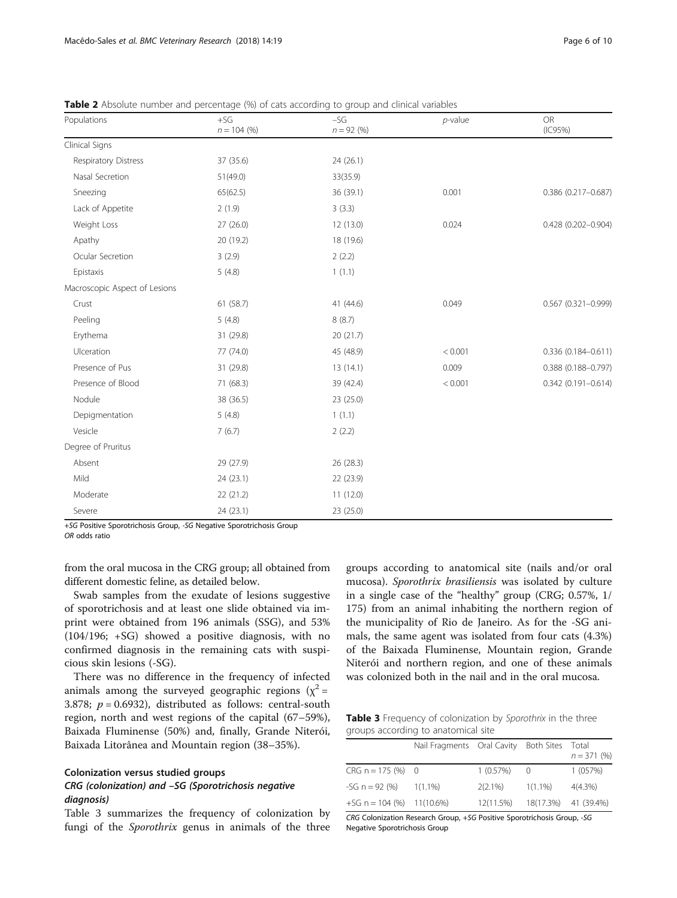| Populations                   | $+SG$<br>$n = 104 (%)$ | $-SG$<br>$n = 92(%)$ | $p$ -value | <b>OR</b><br>(IC95%)      |  |  |
|-------------------------------|------------------------|----------------------|------------|---------------------------|--|--|
| Clinical Signs                |                        |                      |            |                           |  |  |
| Respiratory Distress          | 37 (35.6)              | 24 (26.1)            |            |                           |  |  |
| Nasal Secretion               | 51(49.0)               | 33(35.9)             |            |                           |  |  |
| Sneezing                      | 65(62.5)               | 36 (39.1)            | 0.001      | 0.386 (0.217-0.687)       |  |  |
| Lack of Appetite              | 2(1.9)                 | 3(3.3)               |            |                           |  |  |
| Weight Loss                   | 27(26.0)               | 12(13.0)             | 0.024      | 0.428 (0.202-0.904)       |  |  |
| Apathy                        | 20 (19.2)              | 18 (19.6)            |            |                           |  |  |
| Ocular Secretion              | 3(2.9)                 | 2(2.2)               |            |                           |  |  |
| Epistaxis                     | 5(4.8)                 | 1(1.1)               |            |                           |  |  |
| Macroscopic Aspect of Lesions |                        |                      |            |                           |  |  |
| Crust                         | 61 (58.7)              | 41 (44.6)            | 0.049      | $0.567$ $(0.321 - 0.999)$ |  |  |
| Peeling                       | 5(4.8)                 | 8(8.7)               |            |                           |  |  |
| Erythema                      | 31 (29.8)              | 20(21.7)             |            |                           |  |  |
| Ulceration                    | 77 (74.0)              | 45 (48.9)            | < 0.001    | 0.336 (0.184-0.611)       |  |  |
| Presence of Pus               | 31 (29.8)              | 13(14.1)             | 0.009      | 0.388 (0.188-0.797)       |  |  |
| Presence of Blood             | 71 (68.3)              | 39 (42.4)            | < 0.001    | $0.342(0.191 - 0.614)$    |  |  |
| Nodule                        | 38 (36.5)              | 23 (25.0)            |            |                           |  |  |
| Depigmentation                | 5(4.8)                 | 1(1.1)               |            |                           |  |  |
| Vesicle                       | 7(6.7)                 | 2(2.2)               |            |                           |  |  |
| Degree of Pruritus            |                        |                      |            |                           |  |  |
| Absent                        | 29 (27.9)              | 26 (28.3)            |            |                           |  |  |
| Mild                          | 24(23.1)               | 22 (23.9)            |            |                           |  |  |
| Moderate                      | 22(21.2)               | 11(12.0)             |            |                           |  |  |
| Severe                        | 24 (23.1)              | 23 (25.0)            |            |                           |  |  |

<span id="page-5-0"></span>Table 2 Absolute number and percentage (%) of cats according to group and clinical variables

+SG Positive Sporotrichosis Group, -SG Negative Sporotrichosis Group

OR odds ratio

from the oral mucosa in the CRG group; all obtained from different domestic feline, as detailed below.

Swab samples from the exudate of lesions suggestive of sporotrichosis and at least one slide obtained via imprint were obtained from 196 animals (SSG), and 53% (104/196; +SG) showed a positive diagnosis, with no confirmed diagnosis in the remaining cats with suspicious skin lesions (-SG).

There was no difference in the frequency of infected animals among the surveyed geographic regions  $(x^2 =$ 3.878;  $p = 0.6932$ ), distributed as follows: central-south region, north and west regions of the capital (67–59%), Baixada Fluminense (50%) and, finally, Grande Niterói, Baixada Litorânea and Mountain region (38–35%).

## Colonization versus studied groups

## CRG (colonization) and –SG (Sporotrichosis negative diagnosis)

Table 3 summarizes the frequency of colonization by fungi of the *Sporothrix* genus in animals of the three

groups according to anatomical site (nails and/or oral mucosa). Sporothrix brasiliensis was isolated by culture in a single case of the "healthy" group (CRG; 0.57%, 1/ 175) from an animal inhabiting the northern region of the municipality of Rio de Janeiro. As for the -SG animals, the same agent was isolated from four cats (4.3%) of the Baixada Fluminense, Mountain region, Grande Niterói and northern region, and one of these animals was colonized both in the nail and in the oral mucosa.

Table 3 Frequency of colonization by Sporothrix in the three groups according to anatomical site

|                             | Nail Fragments Oral Cavity Both Sites Total |            |            | $n = 371(%)$         |
|-----------------------------|---------------------------------------------|------------|------------|----------------------|
| $CRG n = 175 (%) 0$         |                                             | 1(0.57%)   | $\bigcirc$ | 1 (057%)             |
| -SG $n = 92$ (%)            | $1(1.1\%)$                                  | $2(2.1\%)$ | $1(1.1\%)$ | $4(4.3\%)$           |
| $+SG n = 104 (%) 11(10.6%)$ |                                             | 12(11.5%)  |            | 18(17.3%) 41 (39.4%) |

CRG Colonization Research Group, +SG Positive Sporotrichosis Group, -SG Negative Sporotrichosis Group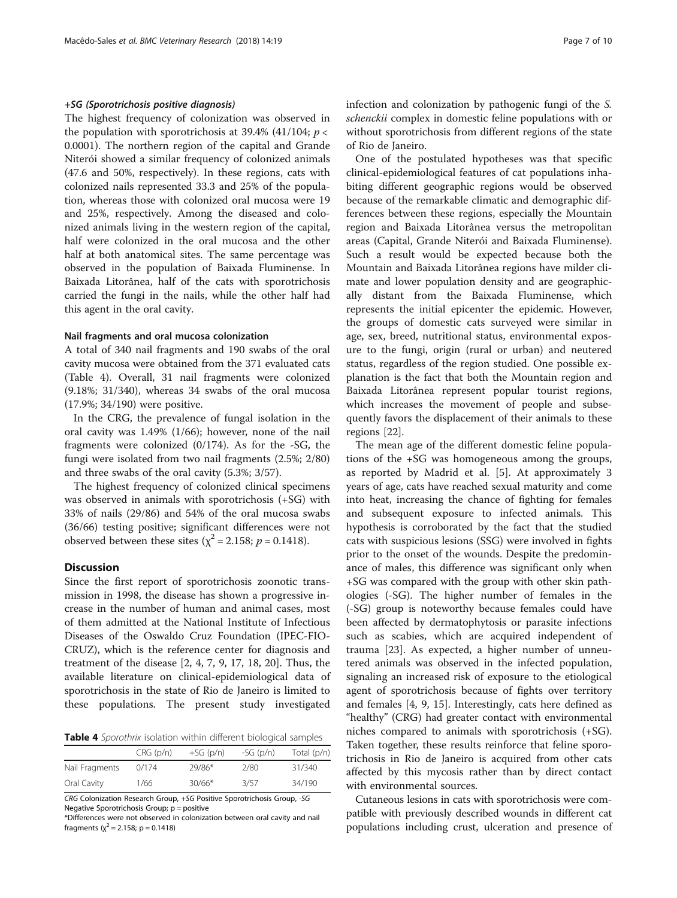## +SG (Sporotrichosis positive diagnosis)

The highest frequency of colonization was observed in the population with sporotrichosis at 39.4% (41/104;  $p <$ 0.0001). The northern region of the capital and Grande Niterói showed a similar frequency of colonized animals (47.6 and 50%, respectively). In these regions, cats with colonized nails represented 33.3 and 25% of the population, whereas those with colonized oral mucosa were 19 and 25%, respectively. Among the diseased and colonized animals living in the western region of the capital, half were colonized in the oral mucosa and the other half at both anatomical sites. The same percentage was observed in the population of Baixada Fluminense. In Baixada Litorânea, half of the cats with sporotrichosis carried the fungi in the nails, while the other half had this agent in the oral cavity.

#### Nail fragments and oral mucosa colonization

A total of 340 nail fragments and 190 swabs of the oral cavity mucosa were obtained from the 371 evaluated cats (Table 4). Overall, 31 nail fragments were colonized (9.18%; 31/340), whereas 34 swabs of the oral mucosa (17.9%; 34/190) were positive.

In the CRG, the prevalence of fungal isolation in the oral cavity was 1.49% (1/66); however, none of the nail fragments were colonized (0/174). As for the -SG, the fungi were isolated from two nail fragments (2.5%; 2/80) and three swabs of the oral cavity (5.3%; 3/57).

The highest frequency of colonized clinical specimens was observed in animals with sporotrichosis (+SG) with 33% of nails (29/86) and 54% of the oral mucosa swabs (36/66) testing positive; significant differences were not observed between these sites ( $\chi^2$  = 2.158; *p* = 0.1418).

## Discussion

Since the first report of sporotrichosis zoonotic transmission in 1998, the disease has shown a progressive increase in the number of human and animal cases, most of them admitted at the National Institute of Infectious Diseases of the Oswaldo Cruz Foundation (IPEC-FIO-CRUZ), which is the reference center for diagnosis and treatment of the disease [[2, 4](#page-8-0), [7](#page-9-0), [9](#page-9-0), [17, 18, 20\]](#page-9-0). Thus, the available literature on clinical-epidemiological data of sporotrichosis in the state of Rio de Janeiro is limited to these populations. The present study investigated

Table 4 Sporothrix isolation within different biological samples

|                | CRG(p/n) | $+SG(p/n)$ | $-SG(p/n)$ | Total $(p/n)$ |
|----------------|----------|------------|------------|---------------|
| Nail Fragments | 0/174    | 29/86*     | 2/80       | 31/340        |
| Oral Cavity    | 1/66     | $30/66*$   | 3/57       | 34/190        |

CRG Colonization Research Group, +SG Positive Sporotrichosis Group, -SG Negative Sporotrichosis Group; p = positive

\*Differences were not observed in colonization between oral cavity and nail fragments ( $\chi^2$  = 2.158; p = 0.1418)

infection and colonization by pathogenic fungi of the S. schenckii complex in domestic feline populations with or without sporotrichosis from different regions of the state of Rio de Janeiro.

One of the postulated hypotheses was that specific clinical-epidemiological features of cat populations inhabiting different geographic regions would be observed because of the remarkable climatic and demographic differences between these regions, especially the Mountain region and Baixada Litorânea versus the metropolitan areas (Capital, Grande Niterói and Baixada Fluminense). Such a result would be expected because both the Mountain and Baixada Litorânea regions have milder climate and lower population density and are geographically distant from the Baixada Fluminense, which represents the initial epicenter the epidemic. However, the groups of domestic cats surveyed were similar in age, sex, breed, nutritional status, environmental exposure to the fungi, origin (rural or urban) and neutered status, regardless of the region studied. One possible explanation is the fact that both the Mountain region and Baixada Litorânea represent popular tourist regions, which increases the movement of people and subsequently favors the displacement of their animals to these regions [\[22](#page-9-0)].

The mean age of the different domestic feline populations of the +SG was homogeneous among the groups, as reported by Madrid et al. [\[5](#page-9-0)]. At approximately 3 years of age, cats have reached sexual maturity and come into heat, increasing the chance of fighting for females and subsequent exposure to infected animals. This hypothesis is corroborated by the fact that the studied cats with suspicious lesions (SSG) were involved in fights prior to the onset of the wounds. Despite the predominance of males, this difference was significant only when +SG was compared with the group with other skin pathologies (-SG). The higher number of females in the (-SG) group is noteworthy because females could have been affected by dermatophytosis or parasite infections such as scabies, which are acquired independent of trauma [[23\]](#page-9-0). As expected, a higher number of unneutered animals was observed in the infected population, signaling an increased risk of exposure to the etiological agent of sporotrichosis because of fights over territory and females [\[4](#page-8-0), [9, 15](#page-9-0)]. Interestingly, cats here defined as "healthy" (CRG) had greater contact with environmental niches compared to animals with sporotrichosis (+SG). Taken together, these results reinforce that feline sporotrichosis in Rio de Janeiro is acquired from other cats affected by this mycosis rather than by direct contact with environmental sources.

Cutaneous lesions in cats with sporotrichosis were compatible with previously described wounds in different cat populations including crust, ulceration and presence of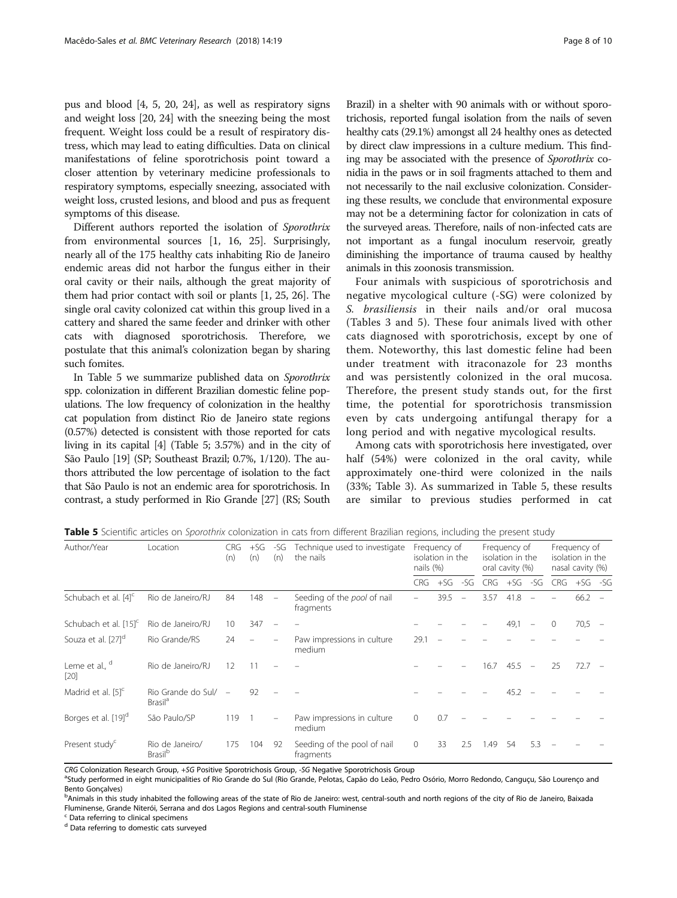pus and blood [\[4](#page-8-0), [5, 20, 24](#page-9-0)], as well as respiratory signs and weight loss [\[20, 24\]](#page-9-0) with the sneezing being the most frequent. Weight loss could be a result of respiratory distress, which may lead to eating difficulties. Data on clinical manifestations of feline sporotrichosis point toward a closer attention by veterinary medicine professionals to respiratory symptoms, especially sneezing, associated with weight loss, crusted lesions, and blood and pus as frequent symptoms of this disease.

Different authors reported the isolation of Sporothrix from environmental sources [\[1](#page-8-0), [16](#page-9-0), [25\]](#page-9-0). Surprisingly, nearly all of the 175 healthy cats inhabiting Rio de Janeiro endemic areas did not harbor the fungus either in their oral cavity or their nails, although the great majority of them had prior contact with soil or plants [\[1](#page-8-0), [25, 26](#page-9-0)]. The single oral cavity colonized cat within this group lived in a cattery and shared the same feeder and drinker with other cats with diagnosed sporotrichosis. Therefore, we postulate that this animal's colonization began by sharing such fomites.

In Table 5 we summarize published data on Sporothrix spp. colonization in different Brazilian domestic feline populations. The low frequency of colonization in the healthy cat population from distinct Rio de Janeiro state regions (0.57%) detected is consistent with those reported for cats living in its capital [[4](#page-8-0)] (Table 5; 3.57%) and in the city of São Paulo [\[19\]](#page-9-0) (SP; Southeast Brazil; 0.7%, 1/120). The authors attributed the low percentage of isolation to the fact that São Paulo is not an endemic area for sporotrichosis. In contrast, a study performed in Rio Grande [[27](#page-9-0)] (RS; South

Brazil) in a shelter with 90 animals with or without sporotrichosis, reported fungal isolation from the nails of seven healthy cats (29.1%) amongst all 24 healthy ones as detected by direct claw impressions in a culture medium. This finding may be associated with the presence of Sporothrix conidia in the paws or in soil fragments attached to them and not necessarily to the nail exclusive colonization. Considering these results, we conclude that environmental exposure may not be a determining factor for colonization in cats of the surveyed areas. Therefore, nails of non-infected cats are not important as a fungal inoculum reservoir, greatly diminishing the importance of trauma caused by healthy animals in this zoonosis transmission.

Four animals with suspicious of sporotrichosis and negative mycological culture (-SG) were colonized by S. brasiliensis in their nails and/or oral mucosa (Tables [3](#page-5-0) and 5). These four animals lived with other cats diagnosed with sporotrichosis, except by one of them. Noteworthy, this last domestic feline had been under treatment with itraconazole for 23 months and was persistently colonized in the oral mucosa. Therefore, the present study stands out, for the first time, the potential for sporotrichosis transmission even by cats undergoing antifungal therapy for a long period and with negative mycological results.

Among cats with sporotrichosis here investigated, over half (54%) were colonized in the oral cavity, while approximately one-third were colonized in the nails (33%; Table [3](#page-5-0)). As summarized in Table 5, these results are similar to previous studies performed in cat

Table 5 Scientific articles on Sporothrix colonization in cats from different Brazilian regions, including the present study

| Author/Year<br>Location           |                                                    | CRG<br>(n) | $+SG$<br>(n) | -SG<br>(n)               | Technique used to investigate<br>the nails | Frequency of<br>isolation in the<br>nails $(%)$ |       | Frequency of<br>isolation in the<br>oral cavity (%) |            | Frequency of<br>isolation in the<br>nasal cavity (%) |            |            |      |  |
|-----------------------------------|----------------------------------------------------|------------|--------------|--------------------------|--------------------------------------------|-------------------------------------------------|-------|-----------------------------------------------------|------------|------------------------------------------------------|------------|------------|------|--|
|                                   |                                                    |            |              |                          | <b>CRG</b>                                 | $+SG$                                           | $-SG$ | <b>CRG</b>                                          | $+SG - SG$ |                                                      | <b>CRG</b> | $+SG - SC$ |      |  |
| Schubach et al. [4] <sup>c</sup>  | Rio de Janeiro/RJ                                  | 84         | 148          | $\overline{\phantom{a}}$ | Seeding of the pool of nail<br>fragments   |                                                 | 39.5  | $\overline{\phantom{a}}$                            | 3.57       | 41.8                                                 |            |            | 66.2 |  |
| Schubach et al. [15] <sup>c</sup> | Rio de Janeiro/RJ                                  | 10         | 347          |                          |                                            |                                                 |       |                                                     |            | 49,1                                                 |            | $\Omega$   | 70,5 |  |
| Souza et al. [27] <sup>d</sup>    | Rio Grande/RS                                      | 24         |              |                          | Paw impressions in culture<br>medium       | 29.1                                            |       |                                                     |            |                                                      |            |            |      |  |
| Leme et al., d<br>[20]            | Rio de Janeiro/RJ                                  | 12         |              |                          |                                            |                                                 |       |                                                     | 16.7       | 45.5                                                 |            | 25         | 72.7 |  |
| Madrid et al. [5] <sup>c</sup>    | Rio Grande do Sul/ -<br><b>Brasil</b> <sup>a</sup> |            | 92           |                          |                                            |                                                 |       |                                                     |            | 45.2                                                 |            |            |      |  |
| Borges et al. [19] <sup>d</sup>   | São Paulo/SP                                       | 119        |              | $\overline{\phantom{m}}$ | Paw impressions in culture<br>medium       | $\Omega$                                        | 0.7   |                                                     |            |                                                      |            |            |      |  |
| Present study <sup>c</sup>        | Rio de Janeiro/<br><b>Brasil</b> <sup>b</sup>      | 175        | 104          | 92                       | Seeding of the pool of nail<br>fragments   | $\Omega$                                        | 33    | 2.5                                                 | .49        | 54                                                   | 5.3        |            |      |  |

CRG Colonization Research Group, +SG Positive Sporotrichosis Group, -SG Negative Sporotrichosis Group

<sup>a</sup>Study performed in eight municipalities of Rio Grande do Sul (Rio Grande, Pelotas, Capão do Leão, Pedro Osório, Morro Redondo, Canguçu, São Lourenço and Bento Gonçalves)

bAnimals in this study inhabited the following areas of the state of Rio de Janeiro: west, central-south and north regions of the city of Rio de Janeiro, Baixada Fluminense, Grande Niterói, Serrana and dos Lagos Regions and central-south Fluminense

<sup>c</sup> Data referring to clinical specimens

d Data referring to domestic cats surveyed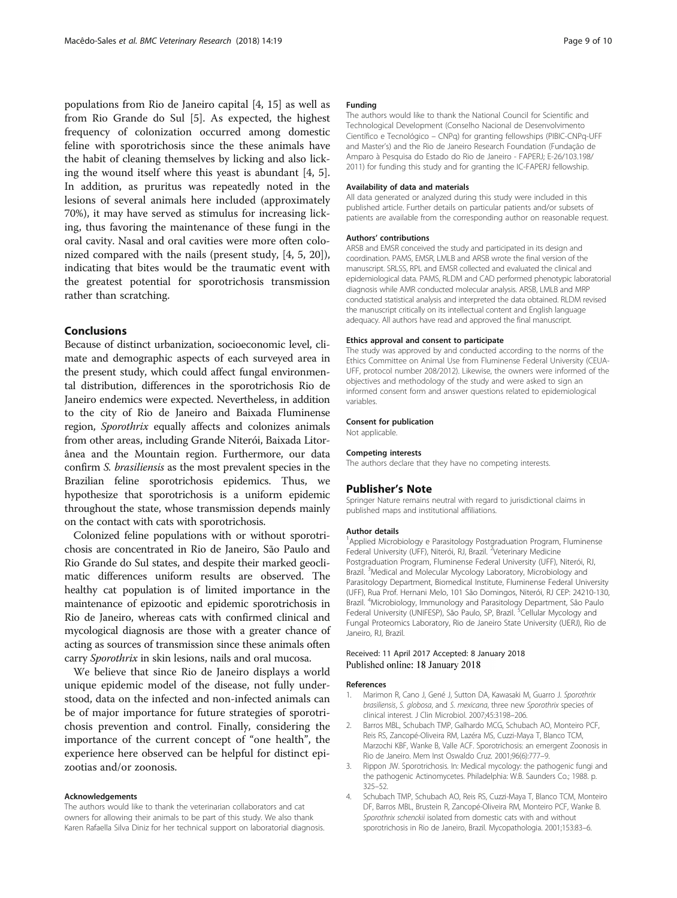<span id="page-8-0"></span>populations from Rio de Janeiro capital [4, [15](#page-9-0)] as well as from Rio Grande do Sul [\[5](#page-9-0)]. As expected, the highest frequency of colonization occurred among domestic feline with sporotrichosis since the these animals have the habit of cleaning themselves by licking and also licking the wound itself where this yeast is abundant [4, [5](#page-9-0)]. In addition, as pruritus was repeatedly noted in the lesions of several animals here included (approximately 70%), it may have served as stimulus for increasing licking, thus favoring the maintenance of these fungi in the oral cavity. Nasal and oral cavities were more often colonized compared with the nails (present study, [4, [5, 20](#page-9-0)]), indicating that bites would be the traumatic event with the greatest potential for sporotrichosis transmission rather than scratching.

## Conclusions

Because of distinct urbanization, socioeconomic level, climate and demographic aspects of each surveyed area in the present study, which could affect fungal environmental distribution, differences in the sporotrichosis Rio de Janeiro endemics were expected. Nevertheless, in addition to the city of Rio de Janeiro and Baixada Fluminense region, Sporothrix equally affects and colonizes animals from other areas, including Grande Niterói, Baixada Litorânea and the Mountain region. Furthermore, our data confirm S. brasiliensis as the most prevalent species in the Brazilian feline sporotrichosis epidemics. Thus, we hypothesize that sporotrichosis is a uniform epidemic throughout the state, whose transmission depends mainly on the contact with cats with sporotrichosis.

Colonized feline populations with or without sporotrichosis are concentrated in Rio de Janeiro, São Paulo and Rio Grande do Sul states, and despite their marked geoclimatic differences uniform results are observed. The healthy cat population is of limited importance in the maintenance of epizootic and epidemic sporotrichosis in Rio de Janeiro, whereas cats with confirmed clinical and mycological diagnosis are those with a greater chance of acting as sources of transmission since these animals often carry Sporothrix in skin lesions, nails and oral mucosa.

We believe that since Rio de Janeiro displays a world unique epidemic model of the disease, not fully understood, data on the infected and non-infected animals can be of major importance for future strategies of sporotrichosis prevention and control. Finally, considering the importance of the current concept of "one health", the experience here observed can be helpful for distinct epizootias and/or zoonosis.

#### Acknowledgements

The authors would like to thank the veterinarian collaborators and cat owners for allowing their animals to be part of this study. We also thank Karen Rafaella Silva Diniz for her technical support on laboratorial diagnosis.

#### Funding

The authors would like to thank the National Council for Scientific and Technological Development (Conselho Nacional de Desenvolvimento Científico e Tecnológico – CNPq) for granting fellowships (PIBIC-CNPq-UFF and Master's) and the Rio de Janeiro Research Foundation (Fundação de Amparo à Pesquisa do Estado do Rio de Janeiro - FAPERJ; E-26/103.198/ 2011) for funding this study and for granting the IC-FAPERJ fellowship.

#### Availability of data and materials

All data generated or analyzed during this study were included in this published article. Further details on particular patients and/or subsets of patients are available from the corresponding author on reasonable request.

#### Authors' contributions

ARSB and EMSR conceived the study and participated in its design and coordination. PAMS, EMSR, LMLB and ARSB wrote the final version of the manuscript. SRLSS, RPL and EMSR collected and evaluated the clinical and epidemiological data. PAMS, RLDM and CAD performed phenotypic laboratorial diagnosis while AMR conducted molecular analysis. ARSB, LMLB and MRP conducted statistical analysis and interpreted the data obtained. RLDM revised the manuscript critically on its intellectual content and English language adequacy. All authors have read and approved the final manuscript.

#### Ethics approval and consent to participate

The study was approved by and conducted according to the norms of the Ethics Committee on Animal Use from Fluminense Federal University (CEUA-UFF, protocol number 208/2012). Likewise, the owners were informed of the objectives and methodology of the study and were asked to sign an informed consent form and answer questions related to epidemiological variables.

#### Consent for publication

Not applicable.

#### Competing interests

The authors declare that they have no competing interests.

## Publisher's Note

Springer Nature remains neutral with regard to jurisdictional claims in published maps and institutional affiliations.

#### Author details

<sup>1</sup> Applied Microbiology e Parasitology Postgraduation Program, Fluminense Federal University (UFF), Niterói, RJ, Brazil. <sup>2</sup>Veterinary Medicine Postgraduation Program, Fluminense Federal University (UFF), Niterói, RJ, Brazil. <sup>3</sup>Medical and Molecular Mycology Laboratory, Microbiology and Parasitology Department, Biomedical Institute, Fluminense Federal University (UFF), Rua Prof. Hernani Melo, 101 São Domingos, Niterói, RJ CEP: 24210-130, Brazil. <sup>4</sup>Microbiology, Immunology and Parasitology Department, São Paulo Federal University (UNIFESP), São Paulo, SP, Brazil. <sup>5</sup>Cellular Mycology and Fungal Proteomics Laboratory, Rio de Janeiro State University (UERJ), Rio de Janeiro, RJ, Brazil.

## Received: 11 April 2017 Accepted: 8 January 2018 Published online: 18 January 2018

#### References

- 1. Marimon R, Cano J, Gené J, Sutton DA, Kawasaki M, Guarro J. Sporothrix brasiliensis, S. globosa, and S. mexicana, three new Sporothrix species of clinical interest. J Clin Microbiol. 2007;45:3198–206.
- 2. Barros MBL, Schubach TMP, Galhardo MCG, Schubach AO, Monteiro PCF, Reis RS, Zancopé-Oliveira RM, Lazéra MS, Cuzzi-Maya T, Blanco TCM, Marzochi KBF, Wanke B, Valle ACF. Sporotrichosis: an emergent Zoonosis in Rio de Janeiro. Mem Inst Oswaldo Cruz. 2001;96(6):777–9.
- 3. Rippon JW. Sporotrichosis. In: Medical mycology: the pathogenic fungi and the pathogenic Actinomycetes. Philadelphia: W.B. Saunders Co.; 1988. p. 325–52.
- 4. Schubach TMP, Schubach AO, Reis RS, Cuzzi-Maya T, Blanco TCM, Monteiro DF, Barros MBL, Brustein R, Zancopé-Oliveira RM, Monteiro PCF, Wanke B. Sporothrix schenckii isolated from domestic cats with and without sporotrichosis in Rio de Janeiro, Brazil. Mycopathologia. 2001;153:83–6.